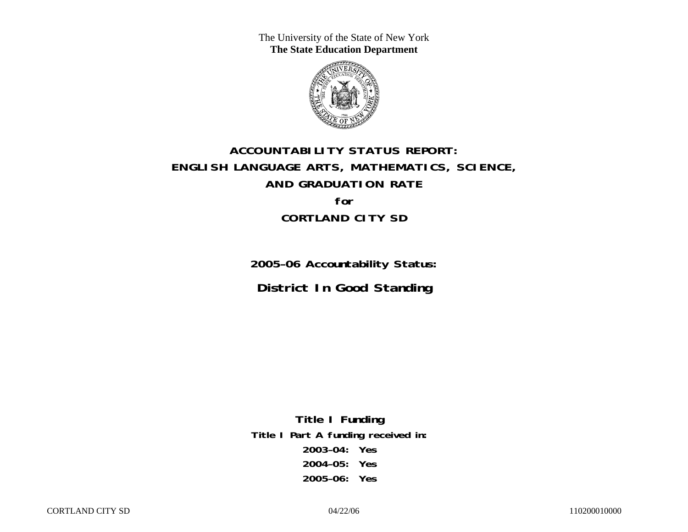The University of the State of New York **The State Education Department** 



# **ACCOUNTABILITY STATUS REPORT: ENGLISH LANGUAGE ARTS, MATHEMATICS, SCIENCE, AND GRADUATION RATE for CORTLAND CITY SD**

**2005–06 Accountability Status: District In Good Standing** 

**Title I Funding Title I Part A funding received in: 2003–04: Yes 2004–05: Yes 2005–06: Yes**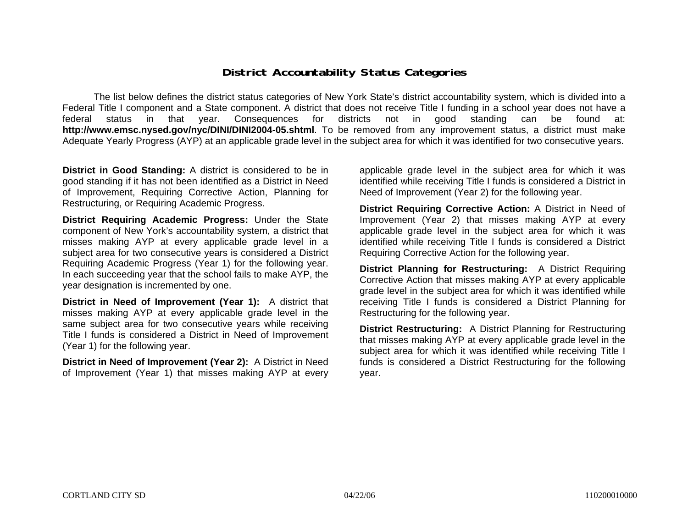### **District Accountability Status Categories**

The list below defines the district status categories of New York State's district accountability system, which is divided into a Federal Title I component and a State component. A district that does not receive Title I funding in a school year does not have a federal status in that year. Consequences for districts not in good standing can be found at: **http://www.emsc.nysed.gov/nyc/DINI/DINI2004-05.shtml**. To be removed from any improvement status, a district must make Adequate Yearly Progress (AYP) at an applicable grade level in the subject area for which it was identified for two consecutive years.

**District in Good Standing:** A district is considered to be in good standing if it has not been identified as a District in Need of Improvement, Requiring Corrective Action, Planning for Restructuring, or Requiring Academic Progress.

**District Requiring Academic Progress:** Under the State component of New York's accountability system, a district that misses making AYP at every applicable grade level in a subject area for two consecutive years is considered a District Requiring Academic Progress (Year 1) for the following year. In each succeeding year that the school fails to make AYP, the year designation is incremented by one.

**District in Need of Improvement (Year 1):** A district that misses making AYP at every applicable grade level in the same subject area for two consecutive years while receiving Title I funds is considered a District in Need of Improvement (Year 1) for the following year.

**District in Need of Improvement (Year 2):** A District in Need of Improvement (Year 1) that misses making AYP at every

applicable grade level in the subject area for which it was identified while receiving Title I funds is considered a District in Need of Improvement (Year 2) for the following year.

**District Requiring Corrective Action:** A District in Need of Improvement (Year 2) that misses making AYP at every applicable grade level in the subject area for which it was identified while receiving Title I funds is considered a District Requiring Corrective Action for the following year.

**District Planning for Restructuring:** A District Requiring Corrective Action that misses making AYP at every applicable grade level in the subject area for which it was identified while receiving Title I funds is considered a District Planning for Restructuring for the following year.

**District Restructuring:** A District Planning for Restructuring that misses making AYP at every applicable grade level in the subject area for which it was identified while receiving Title I funds is considered a District Restructuring for the following year.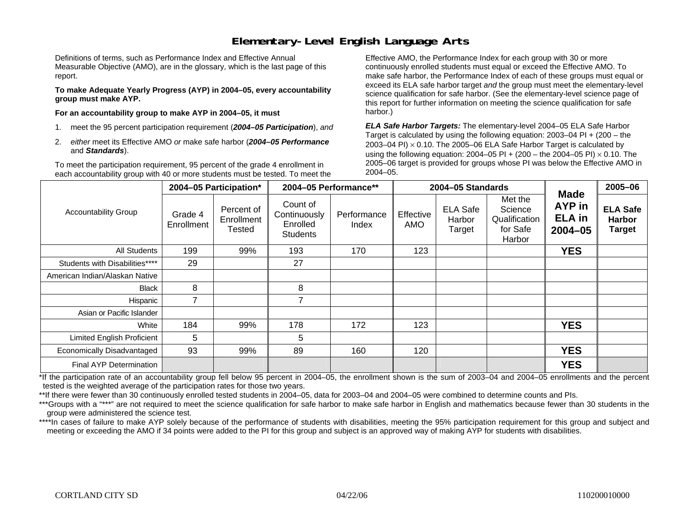### **Elementary-Level English Language Arts**

Definitions of terms, such as Performance Index and Effective Annual Measurable Objective (AMO), are in the glossary, which is the last page of this report.

**To make Adequate Yearly Progress (AYP) in 2004–05, every accountability group must make AYP.** 

**For an accountability group to make AYP in 2004–05, it must** 

- 1. meet the 95 percent participation requirement (*2004–05 Participation*), *and*
- 2. *either* meet its Effective AMO *or* make safe harbor (*2004–05 Performance*  and *Standards*).

To meet the participation requirement, 95 percent of the grade 4 enrollment in each accountability group with 40 or more students must be tested. To meet the

Effective AMO, the Performance Index for each group with 30 or more continuously enrolled students must equal or exceed the Effective AMO. To make safe harbor, the Performance Index of each of these groups must equal or exceed its ELA safe harbor target *and* the group must meet the elementary-level science qualification for safe harbor. (See the elementary-level science page of this report for further information on meeting the science qualification for safe harbor.)

*ELA Safe Harbor Targets:* The elementary-level 2004–05 ELA Safe Harbor Target is calculated by using the following equation: 2003–04 PI + (200 – the 2003–04 PI)  $\times$  0.10. The 2005–06 ELA Safe Harbor Target is calculated by using the following equation: 2004–05 PI + (200 – the 2004–05 PI) × 0.10. The 2005–06 target is provided for groups whose PI was below the Effective AMO in 2004–05.

|                                |                       | 2004-05 Participation*                    | 2004-05 Performance**                                   |                      |                  | 2004-05 Standards                   |                                                           |                                                       | 2005-06                                           |
|--------------------------------|-----------------------|-------------------------------------------|---------------------------------------------------------|----------------------|------------------|-------------------------------------|-----------------------------------------------------------|-------------------------------------------------------|---------------------------------------------------|
| <b>Accountability Group</b>    | Grade 4<br>Enrollment | Percent of<br>Enrollment<br><b>Tested</b> | Count of<br>Continuously<br>Enrolled<br><b>Students</b> | Performance<br>Index | Effective<br>AMO | <b>ELA Safe</b><br>Harbor<br>Target | Met the<br>Science<br>Qualification<br>for Safe<br>Harbor | <b>Made</b><br>AYP in<br><b>ELA</b> in<br>$2004 - 05$ | <b>ELA Safe</b><br><b>Harbor</b><br><b>Target</b> |
| <b>All Students</b>            | 199                   | 99%                                       | 193                                                     | 170                  | 123              |                                     |                                                           | <b>YES</b>                                            |                                                   |
| Students with Disabilities**** | 29                    |                                           | 27                                                      |                      |                  |                                     |                                                           |                                                       |                                                   |
| American Indian/Alaskan Native |                       |                                           |                                                         |                      |                  |                                     |                                                           |                                                       |                                                   |
| <b>Black</b>                   | 8                     |                                           | 8                                                       |                      |                  |                                     |                                                           |                                                       |                                                   |
| Hispanic                       | 7                     |                                           | 7                                                       |                      |                  |                                     |                                                           |                                                       |                                                   |
| Asian or Pacific Islander      |                       |                                           |                                                         |                      |                  |                                     |                                                           |                                                       |                                                   |
| White                          | 184                   | 99%                                       | 178                                                     | 172                  | 123              |                                     |                                                           | <b>YES</b>                                            |                                                   |
| Limited English Proficient     | 5                     |                                           | 5                                                       |                      |                  |                                     |                                                           |                                                       |                                                   |
| Economically Disadvantaged     | 93                    | 99%                                       | 89                                                      | 160                  | 120              |                                     |                                                           | <b>YES</b>                                            |                                                   |
| <b>Final AYP Determination</b> |                       |                                           |                                                         |                      |                  |                                     |                                                           | <b>YES</b>                                            |                                                   |

\*If the participation rate of an accountability group fell below 95 percent in 2004–05, the enrollment shown is the sum of 2003–04 and 2004–05 enrollments and the percent tested is the weighted average of the participation rates for those two years.

\*\*If there were fewer than 30 continuously enrolled tested students in 2004–05, data for 2003–04 and 2004–05 were combined to determine counts and PIs.

\*\*\*Groups with a "\*\*\*" are not required to meet the science qualification for safe harbor to make safe harbor in English and mathematics because fewer than 30 students in the group were administered the science test.

\*\*\*\*In cases of failure to make AYP solely because of the performance of students with disabilities, meeting the 95% participation requirement for this group and subject and meeting or exceeding the AMO if 34 points were added to the PI for this group and subject is an approved way of making AYP for students with disabilities.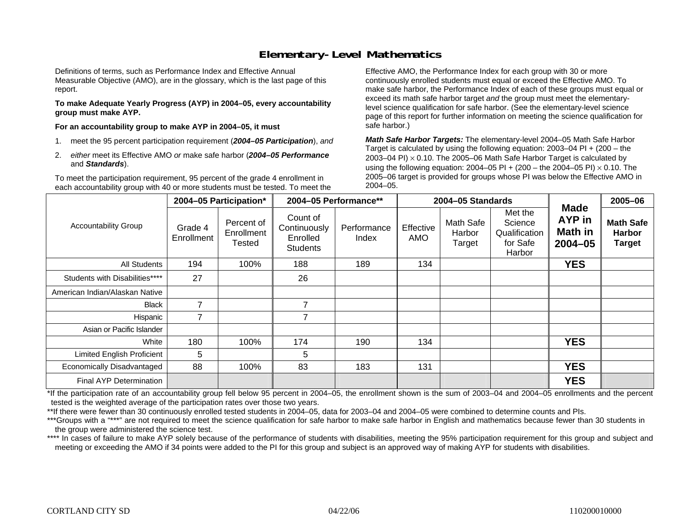### **Elementary-Level Mathematics**

Definitions of terms, such as Performance Index and Effective Annual Measurable Objective (AMO), are in the glossary, which is the last page of this report.

**To make Adequate Yearly Progress (AYP) in 2004–05, every accountability group must make AYP.** 

**For an accountability group to make AYP in 2004–05, it must** 

- 1. meet the 95 percent participation requirement (*2004–05 Participation*), *and*
- 2. *either* meet its Effective AMO *or* make safe harbor (*2004–05 Performance*  and *Standards*).

To meet the participation requirement, 95 percent of the grade 4 enrollment in each accountability group with 40 or more students must be tested. To meet the

Effective AMO, the Performance Index for each group with 30 or more continuously enrolled students must equal or exceed the Effective AMO. To make safe harbor, the Performance Index of each of these groups must equal or exceed its math safe harbor target *and* the group must meet the elementarylevel science qualification for safe harbor. (See the elementary-level science page of this report for further information on meeting the science qualification for safe harbor.)

*Math Safe Harbor Targets:* The elementary-level 2004–05 Math Safe Harbor Target is calculated by using the following equation: 2003–04 PI + (200 – the 2003–04 PI) <sup>×</sup> 0.10. The 2005–06 Math Safe Harbor Target is calculated by using the following equation: 2004–05 PI + (200 – the 2004–05 PI) × 0.10. The 2005–06 target is provided for groups whose PI was below the Effective AMO in 2004–05.

|                                   |                       | 2004-05 Participation*             | 2004-05 Performance**                                   |                      |                         | 2004-05 Standards             |                                                           | <b>Made</b>                             | 2005-06                                            |
|-----------------------------------|-----------------------|------------------------------------|---------------------------------------------------------|----------------------|-------------------------|-------------------------------|-----------------------------------------------------------|-----------------------------------------|----------------------------------------------------|
| <b>Accountability Group</b>       | Grade 4<br>Enrollment | Percent of<br>Enrollment<br>Tested | Count of<br>Continuously<br>Enrolled<br><b>Students</b> | Performance<br>Index | Effective<br><b>AMO</b> | Math Safe<br>Harbor<br>Target | Met the<br>Science<br>Qualification<br>for Safe<br>Harbor | AYP in<br><b>Math in</b><br>$2004 - 05$ | <b>Math Safe</b><br><b>Harbor</b><br><b>Target</b> |
| <b>All Students</b>               | 194                   | 100%                               | 188                                                     | 189                  | 134                     |                               |                                                           | <b>YES</b>                              |                                                    |
| Students with Disabilities****    | 27                    |                                    | 26                                                      |                      |                         |                               |                                                           |                                         |                                                    |
| American Indian/Alaskan Native    |                       |                                    |                                                         |                      |                         |                               |                                                           |                                         |                                                    |
| <b>Black</b>                      | $\overline{ }$        |                                    | 7                                                       |                      |                         |                               |                                                           |                                         |                                                    |
| Hispanic                          |                       |                                    |                                                         |                      |                         |                               |                                                           |                                         |                                                    |
| Asian or Pacific Islander         |                       |                                    |                                                         |                      |                         |                               |                                                           |                                         |                                                    |
| White                             | 180                   | 100%                               | 174                                                     | 190                  | 134                     |                               |                                                           | <b>YES</b>                              |                                                    |
| <b>Limited English Proficient</b> | 5                     |                                    | 5                                                       |                      |                         |                               |                                                           |                                         |                                                    |
| Economically Disadvantaged        | 88                    | 100%                               | 83                                                      | 183                  | 131                     |                               |                                                           | <b>YES</b>                              |                                                    |
| <b>Final AYP Determination</b>    |                       |                                    |                                                         |                      |                         |                               |                                                           | <b>YES</b>                              |                                                    |

\*If the participation rate of an accountability group fell below 95 percent in 2004–05, the enrollment shown is the sum of 2003–04 and 2004–05 enrollments and the percent tested is the weighted average of the participation rates over those two years.

\*\*If there were fewer than 30 continuously enrolled tested students in 2004–05, data for 2003–04 and 2004–05 were combined to determine counts and PIs.

\*\*\*Groups with a "\*\*\*" are not required to meet the science qualification for safe harbor to make safe harbor in English and mathematics because fewer than 30 students in the group were administered the science test.

\*\*\*\* In cases of failure to make AYP solely because of the performance of students with disabilities, meeting the 95% participation requirement for this group and subject and meeting or exceeding the AMO if 34 points were added to the PI for this group and subject is an approved way of making AYP for students with disabilities.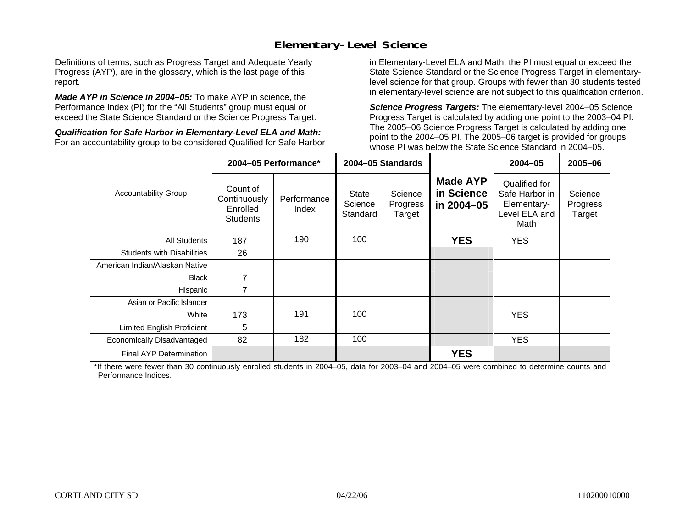### **Elementary-Level Science**

Definitions of terms, such as Progress Target and Adequate Yearly Progress (AYP), are in the glossary, which is the last page of this report.

*Made AYP in Science in 2004–05:* To make AYP in science, the Performance Index (PI) for the "All Students" group must equal or exceed the State Science Standard or the Science Progress Target.

*Qualification for Safe Harbor in Elementary-Level ELA and Math:* For an accountability group to be considered Qualified for Safe Harbor in Elementary-Level ELA and Math, the PI must equal or exceed the State Science Standard or the Science Progress Target in elementarylevel science for that group. Groups with fewer than 30 students tested in elementary-level science are not subject to this qualification criterion.

*Science Progress Targets:* The elementary-level 2004–05 Science Progress Target is calculated by adding one point to the 2003–04 PI. The 2005–06 Science Progress Target is calculated by adding one point to the 2004–05 PI. The 2005–06 target is provided for groups whose PI was below the State Science Standard in 2004–05.

|                                   |                                                         | 2004-05 Performance* |                              | 2004-05 Standards             |                                             | $2004 - 05$                                                             | 2005-06                       |
|-----------------------------------|---------------------------------------------------------|----------------------|------------------------------|-------------------------------|---------------------------------------------|-------------------------------------------------------------------------|-------------------------------|
| <b>Accountability Group</b>       | Count of<br>Continuously<br>Enrolled<br><b>Students</b> | Performance<br>Index | State<br>Science<br>Standard | Science<br>Progress<br>Target | <b>Made AYP</b><br>in Science<br>in 2004-05 | Qualified for<br>Safe Harbor in<br>Elementary-<br>Level ELA and<br>Math | Science<br>Progress<br>Target |
| All Students                      | 187                                                     | 190                  | 100                          |                               | <b>YES</b>                                  | YES.                                                                    |                               |
| <b>Students with Disabilities</b> | 26                                                      |                      |                              |                               |                                             |                                                                         |                               |
| American Indian/Alaskan Native    |                                                         |                      |                              |                               |                                             |                                                                         |                               |
| <b>Black</b>                      | $\overline{7}$                                          |                      |                              |                               |                                             |                                                                         |                               |
| Hispanic                          | 7                                                       |                      |                              |                               |                                             |                                                                         |                               |
| Asian or Pacific Islander         |                                                         |                      |                              |                               |                                             |                                                                         |                               |
| White                             | 173                                                     | 191                  | 100                          |                               |                                             | <b>YES</b>                                                              |                               |
| Limited English Proficient        | 5                                                       |                      |                              |                               |                                             |                                                                         |                               |
| Economically Disadvantaged        | 82                                                      | 182                  | 100                          |                               |                                             | <b>YES</b>                                                              |                               |
| <b>Final AYP Determination</b>    |                                                         |                      |                              |                               | <b>YES</b>                                  |                                                                         |                               |

\*If there were fewer than 30 continuously enrolled students in 2004–05, data for 2003–04 and 2004–05 were combined to determine counts and Performance Indices.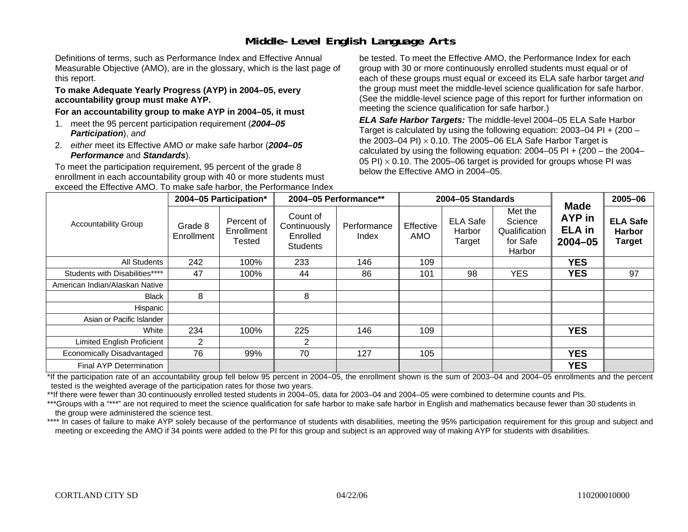# **Middle-Level English Language Arts**

Definitions of terms, such as Performance Index and Effective Annual Measurable Objective (AMO), are in the glossary, which is the last page of this report.

#### **To make Adequate Yearly Progress (AYP) in 2004–05, every accountability group must make AYP.**

#### **For an accountability group to make AYP in 2004–05, it must**

- 1. meet the 95 percent participation requirement (*2004–05 Participation*), *and*
- 2. *either* meet its Effective AMO *or* make safe harbor (*2004–05 Performance* and *Standards*).

To meet the participation requirement, 95 percent of the grade 8 enrollment in each accountability group with 40 or more students must exceed the Effective AMO. To make safe harbor, the Performance Index be tested. To meet the Effective AMO, the Performance Index for each group with 30 or more continuously enrolled students must equal or of each of these groups must equal or exceed its ELA safe harbor target *and* the group must meet the middle-level science qualification for safe harbor. (See the middle-level science page of this report for further information on meeting the science qualification for safe harbor.)

*ELA Safe Harbor Targets:* The middle-level 2004–05 ELA Safe Harbor Target is calculated by using the following equation: 2003–04 PI + (200 – the 2003–04 PI) <sup>×</sup> 0.10. The 2005–06 ELA Safe Harbor Target is calculated by using the following equation:  $2004-05$  PI +  $(200 -$  the  $2004-$ 05 PI)  $\times$  0.10. The 2005–06 target is provided for groups whose PI was below the Effective AMO in 2004–05.

|                                |                       | 2004-05 Participation*             |                                                         | 2004-05 Performance** |                  | 2004-05 Standards                   |                                                           |                                                       | 2005-06                                           |
|--------------------------------|-----------------------|------------------------------------|---------------------------------------------------------|-----------------------|------------------|-------------------------------------|-----------------------------------------------------------|-------------------------------------------------------|---------------------------------------------------|
| <b>Accountability Group</b>    | Grade 8<br>Enrollment | Percent of<br>Enrollment<br>Tested | Count of<br>Continuously<br>Enrolled<br><b>Students</b> | Performance<br>Index  | Effective<br>AMO | <b>ELA Safe</b><br>Harbor<br>Target | Met the<br>Science<br>Qualification<br>for Safe<br>Harbor | <b>Made</b><br>AYP in<br><b>ELA</b> in<br>$2004 - 05$ | <b>ELA Safe</b><br><b>Harbor</b><br><b>Target</b> |
| All Students                   | 242                   | 100%                               | 233                                                     | 146                   | 109              |                                     |                                                           | <b>YES</b>                                            |                                                   |
| Students with Disabilities**** | 47                    | 100%                               | 44                                                      | 86                    | 101              | 98                                  | <b>YES</b>                                                | <b>YES</b>                                            | 97                                                |
| American Indian/Alaskan Native |                       |                                    |                                                         |                       |                  |                                     |                                                           |                                                       |                                                   |
| <b>Black</b>                   | 8                     |                                    | 8                                                       |                       |                  |                                     |                                                           |                                                       |                                                   |
| Hispanic                       |                       |                                    |                                                         |                       |                  |                                     |                                                           |                                                       |                                                   |
| Asian or Pacific Islander      |                       |                                    |                                                         |                       |                  |                                     |                                                           |                                                       |                                                   |
| White                          | 234                   | 100%                               | 225                                                     | 146                   | 109              |                                     |                                                           | <b>YES</b>                                            |                                                   |
| Limited English Proficient     | $\overline{2}$        |                                    | 2                                                       |                       |                  |                                     |                                                           |                                                       |                                                   |
| Economically Disadvantaged     | 76                    | 99%                                | 70                                                      | 127                   | 105              |                                     |                                                           | <b>YES</b>                                            |                                                   |
| Final AYP Determination        |                       |                                    |                                                         |                       |                  |                                     |                                                           | <b>YES</b>                                            |                                                   |

\*If the participation rate of an accountability group fell below 95 percent in 2004–05, the enrollment shown is the sum of 2003–04 and 2004–05 enrollments and the percent tested is the weighted average of the participation rates for those two years.

\*\*If there were fewer than 30 continuously enrolled tested students in 2004–05, data for 2003–04 and 2004–05 were combined to determine counts and PIs.

\*\*\*Groups with a "\*\*\*" are not required to meet the science qualification for safe harbor to make safe harbor in English and mathematics because fewer than 30 students in the group were administered the science test.

\*\*\*\* In cases of failure to make AYP solely because of the performance of students with disabilities, meeting the 95% participation requirement for this group and subject and meeting or exceeding the AMO if 34 points were added to the PI for this group and subject is an approved way of making AYP for students with disabilities.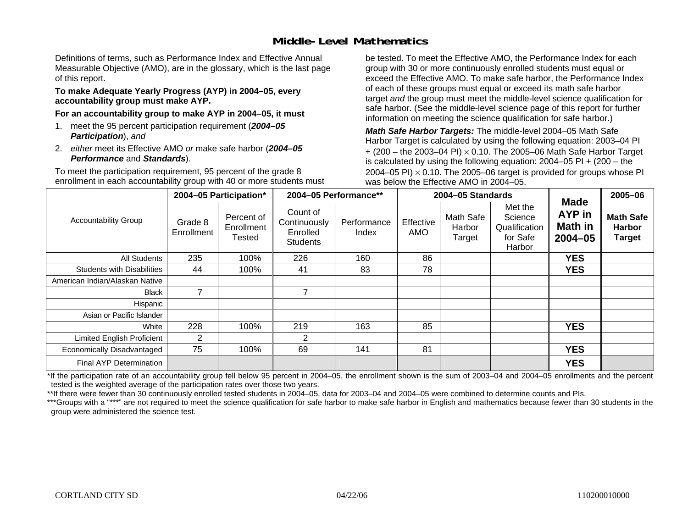### **Middle-Level Mathematics**

Definitions of terms, such as Performance Index and Effective Annual Measurable Objective (AMO), are in the glossary, which is the last page of this report.

#### **To make Adequate Yearly Progress (AYP) in 2004–05, every accountability group must make AYP.**

**For an accountability group to make AYP in 2004–05, it must** 

- 1. meet the 95 percent participation requirement (*2004–05 Participation*), *and*
- 2. *either* meet its Effective AMO *or* make safe harbor (*2004–05 Performance* and *Standards*).

To meet the participation requirement, 95 percent of the grade 8 enrollment in each accountability group with 40 or more students must be tested. To meet the Effective AMO, the Performance Index for each group with 30 or more continuously enrolled students must equal or exceed the Effective AMO. To make safe harbor, the Performance Index of each of these groups must equal or exceed its math safe harbor target *and* the group must meet the middle-level science qualification for safe harbor. (See the middle-level science page of this report for further information on meeting the science qualification for safe harbor.)

*Math Safe Harbor Targets:* The middle-level 2004–05 Math Safe Harbor Target is calculated by using the following equation: 2003–04 PI + (200 – the 2003–04 PI) <sup>×</sup> 0.10. The 2005–06 Math Safe Harbor Target is calculated by using the following equation: 2004–05 PI + (200 – the 2004–05 PI)  $\times$  0.10. The 2005–06 target is provided for groups whose PI was below the Effective AMO in 2004–05.

|                                   |                       | 2004-05 Participation*                    |                                                         | 2004-05 Performance** |                  | 2004-05 Standards             |                                                           | <b>Made</b>                         | 2005-06                                     |
|-----------------------------------|-----------------------|-------------------------------------------|---------------------------------------------------------|-----------------------|------------------|-------------------------------|-----------------------------------------------------------|-------------------------------------|---------------------------------------------|
| <b>Accountability Group</b>       | Grade 8<br>Enrollment | Percent of<br>Enrollment<br><b>Tested</b> | Count of<br>Continuously<br>Enrolled<br><b>Students</b> | Performance<br>Index  | Effective<br>AMO | Math Safe<br>Harbor<br>Target | Met the<br>Science<br>Qualification<br>for Safe<br>Harbor | AYP in<br><b>Math in</b><br>2004-05 | <b>Math Safe</b><br><b>Harbor</b><br>Target |
| All Students                      | 235                   | 100%                                      | 226                                                     | 160                   | 86               |                               |                                                           | <b>YES</b>                          |                                             |
| <b>Students with Disabilities</b> | 44                    | 100%                                      | 41                                                      | 83                    | 78               |                               |                                                           | <b>YES</b>                          |                                             |
| American Indian/Alaskan Native    |                       |                                           |                                                         |                       |                  |                               |                                                           |                                     |                                             |
| <b>Black</b>                      | 7                     |                                           | 7                                                       |                       |                  |                               |                                                           |                                     |                                             |
| Hispanic                          |                       |                                           |                                                         |                       |                  |                               |                                                           |                                     |                                             |
| Asian or Pacific Islander         |                       |                                           |                                                         |                       |                  |                               |                                                           |                                     |                                             |
| White                             | 228                   | 100%                                      | 219                                                     | 163                   | 85               |                               |                                                           | <b>YES</b>                          |                                             |
| <b>Limited English Proficient</b> | 2                     |                                           | 2                                                       |                       |                  |                               |                                                           |                                     |                                             |
| Economically Disadvantaged        | 75                    | 100%                                      | 69                                                      | 141                   | 81               |                               |                                                           | <b>YES</b>                          |                                             |
| <b>Final AYP Determination</b>    |                       |                                           |                                                         |                       |                  |                               |                                                           | <b>YES</b>                          |                                             |

\*If the participation rate of an accountability group fell below 95 percent in 2004–05, the enrollment shown is the sum of 2003–04 and 2004–05 enrollments and the percent tested is the weighted average of the participation rates over those two years.

\*\*If there were fewer than 30 continuously enrolled tested students in 2004–05, data for 2003–04 and 2004–05 were combined to determine counts and PIs.

\*\*\*Groups with a "\*\*\*" are not required to meet the science qualification for safe harbor to make safe harbor in English and mathematics because fewer than 30 students in the group were administered the science test.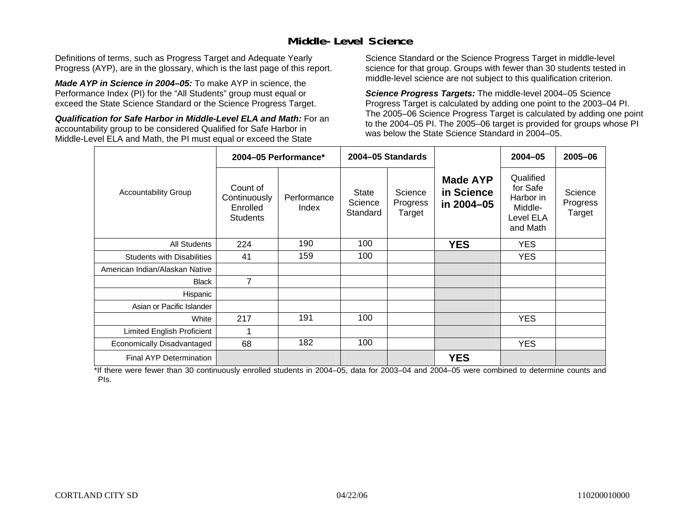### **Middle-Level Science**

Definitions of terms, such as Progress Target and Adequate Yearly Progress (AYP), are in the glossary, which is the last page of this report.

*Made AYP in Science in 2004–05:* To make AYP in science, the Performance Index (PI) for the "All Students" group must equal or exceed the State Science Standard or the Science Progress Target.

*Qualification for Safe Harbor in Middle-Level ELA and Math:* For an accountability group to be considered Qualified for Safe Harbor in Middle-Level ELA and Math, the PI must equal or exceed the State

Science Standard or the Science Progress Target in middle-level science for that group. Groups with fewer than 30 students tested in middle-level science are not subject to this qualification criterion.

*Science Progress Targets:* The middle-level 2004–05 Science Progress Target is calculated by adding one point to the 2003–04 PI. The 2005–06 Science Progress Target is calculated by adding one point to the 2004–05 PI. The 2005–06 target is provided for groups whose PI was below the State Science Standard in 2004–05.

|                                   |                                                         | 2004-05 Performance* |                                     | 2004-05 Standards             |                                             | $2004 - 05$                                                            | 2005-06                       |
|-----------------------------------|---------------------------------------------------------|----------------------|-------------------------------------|-------------------------------|---------------------------------------------|------------------------------------------------------------------------|-------------------------------|
| <b>Accountability Group</b>       | Count of<br>Continuously<br>Enrolled<br><b>Students</b> | Performance<br>Index | <b>State</b><br>Science<br>Standard | Science<br>Progress<br>Target | <b>Made AYP</b><br>in Science<br>in 2004-05 | Qualified<br>for Safe<br>Harbor in<br>Middle-<br>Level ELA<br>and Math | Science<br>Progress<br>Target |
| <b>All Students</b>               | 224                                                     | 190                  | 100                                 |                               | <b>YES</b>                                  | <b>YES</b>                                                             |                               |
| <b>Students with Disabilities</b> | 41                                                      | 159                  | 100                                 |                               |                                             | <b>YES</b>                                                             |                               |
| American Indian/Alaskan Native    |                                                         |                      |                                     |                               |                                             |                                                                        |                               |
| <b>Black</b>                      | $\overline{7}$                                          |                      |                                     |                               |                                             |                                                                        |                               |
| Hispanic                          |                                                         |                      |                                     |                               |                                             |                                                                        |                               |
| Asian or Pacific Islander         |                                                         |                      |                                     |                               |                                             |                                                                        |                               |
| White                             | 217                                                     | 191                  | 100                                 |                               |                                             | <b>YES</b>                                                             |                               |
| Limited English Proficient        | 1                                                       |                      |                                     |                               |                                             |                                                                        |                               |
| Economically Disadvantaged        | 68                                                      | 182                  | 100                                 |                               |                                             | <b>YES</b>                                                             |                               |
| <b>Final AYP Determination</b>    |                                                         |                      |                                     |                               | <b>YES</b>                                  |                                                                        |                               |

\*If there were fewer than 30 continuously enrolled students in 2004–05, data for 2003–04 and 2004–05 were combined to determine counts and PIs.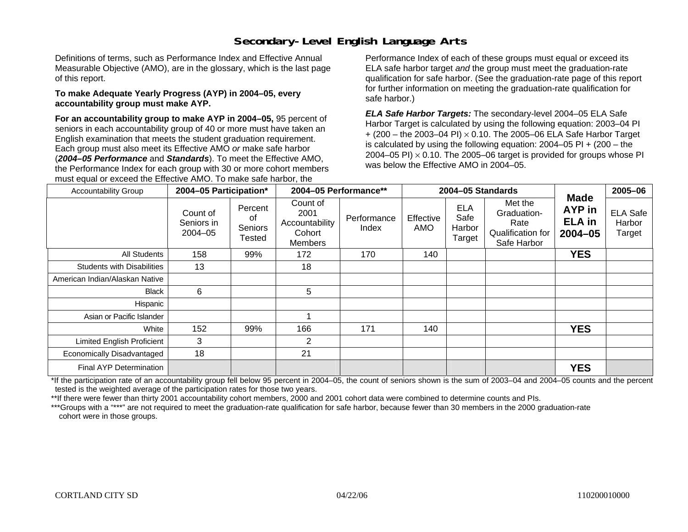# **Secondary-Level English Language Arts**

Definitions of terms, such as Performance Index and Effective Annual Measurable Objective (AMO), are in the glossary, which is the last page of this report.

#### **To make Adequate Yearly Progress (AYP) in 2004–05, every accountability group must make AYP.**

**For an accountability group to make AYP in 2004–05,** 95 percent of seniors in each accountability group of 40 or more must have taken an English examination that meets the student graduation requirement. Each group must also meet its Effective AMO *or* make safe harbor (*2004–05 Performance* and *Standards*). To meet the Effective AMO, the Performance Index for each group with 30 or more cohort members must equal or exceed the Effective AMO. To make safe harbor, the

Performance Index of each of these groups must equal or exceed its ELA safe harbor target *and* the group must meet the graduation-rate qualification for safe harbor. (See the graduation-rate page of this report for further information on meeting the graduation-rate qualification for safe harbor.)

*ELA Safe Harbor Targets:* The secondary-level 2004–05 ELA Safe Harbor Target is calculated by using the following equation: 2003–04 PI + (200 – the 2003–04 PI) <sup>×</sup> 0.10. The 2005–06 ELA Safe Harbor Target is calculated by using the following equation:  $2004-05$  PI  $+$  (200 – the 2004–05 PI)  $\times$  0.10. The 2005–06 target is provided for groups whose PI was below the Effective AMO in 2004–05.

| <b>Accountability Group</b>       | 2004-05 Participation*                |                                    | 2004-05 Performance**<br>2004-05 Standards              |                      | <b>Made</b>      | 2005-06                                |                                                                    |                                        |                                     |
|-----------------------------------|---------------------------------------|------------------------------------|---------------------------------------------------------|----------------------|------------------|----------------------------------------|--------------------------------------------------------------------|----------------------------------------|-------------------------------------|
|                                   | Count of<br>Seniors in<br>$2004 - 05$ | Percent<br>of<br>Seniors<br>Tested | Count of<br>2001<br>Accountability<br>Cohort<br>Members | Performance<br>Index | Effective<br>AMO | <b>ELA</b><br>Safe<br>Harbor<br>Target | Met the<br>Graduation-<br>Rate<br>Qualification for<br>Safe Harbor | AYP in<br><b>ELA</b> in<br>$2004 - 05$ | <b>ELA Safe</b><br>Harbor<br>Target |
| All Students                      | 158                                   | 99%                                | 172                                                     | 170                  | 140              |                                        |                                                                    | <b>YES</b>                             |                                     |
| <b>Students with Disabilities</b> | 13                                    |                                    | 18                                                      |                      |                  |                                        |                                                                    |                                        |                                     |
| American Indian/Alaskan Native    |                                       |                                    |                                                         |                      |                  |                                        |                                                                    |                                        |                                     |
| Black                             | 6                                     |                                    | 5                                                       |                      |                  |                                        |                                                                    |                                        |                                     |
| Hispanic                          |                                       |                                    |                                                         |                      |                  |                                        |                                                                    |                                        |                                     |
| Asian or Pacific Islander         |                                       |                                    |                                                         |                      |                  |                                        |                                                                    |                                        |                                     |
| White                             | 152                                   | 99%                                | 166                                                     | 171                  | 140              |                                        |                                                                    | <b>YES</b>                             |                                     |
| <b>Limited English Proficient</b> | 3                                     |                                    | 2                                                       |                      |                  |                                        |                                                                    |                                        |                                     |
| Economically Disadvantaged        | 18                                    |                                    | 21                                                      |                      |                  |                                        |                                                                    |                                        |                                     |
| Final AYP Determination           |                                       |                                    |                                                         |                      |                  |                                        |                                                                    | <b>YES</b>                             |                                     |

\*If the participation rate of an accountability group fell below 95 percent in 2004–05, the count of seniors shown is the sum of 2003–04 and 2004–05 counts and the percent tested is the weighted average of the participation rates for those two years.

\*\*If there were fewer than thirty 2001 accountability cohort members, 2000 and 2001 cohort data were combined to determine counts and PIs.

\*\*\*Groups with a "\*\*\*" are not required to meet the graduation-rate qualification for safe harbor, because fewer than 30 members in the 2000 graduation-rate cohort were in those groups.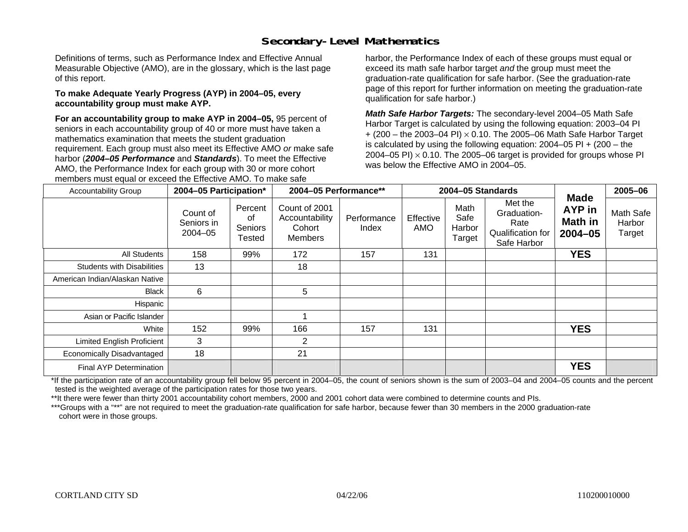# **Secondary-Level Mathematics**

Definitions of terms, such as Performance Index and Effective Annual Measurable Objective (AMO), are in the glossary, which is the last page of this report.

#### **To make Adequate Yearly Progress (AYP) in 2004–05, every accountability group must make AYP.**

**For an accountability group to make AYP in 2004–05,** 95 percent of seniors in each accountability group of 40 or more must have taken a mathematics examination that meets the student graduation requirement. Each group must also meet its Effective AMO *or* make safe harbor (*2004–05 Performance* and *Standards*). To meet the Effective AMO, the Performance Index for each group with 30 or more cohort members must equal or exceed the Effective AMO. To make safe

harbor, the Performance Index of each of these groups must equal or exceed its math safe harbor target *and* the group must meet the graduation-rate qualification for safe harbor. (See the graduation-rate page of this report for further information on meeting the graduation-rate qualification for safe harbor.)

*Math Safe Harbor Targets:* The secondary-level 2004–05 Math Safe Harbor Target is calculated by using the following equation: 2003–04 PI + (200 – the 2003–04 PI) <sup>×</sup> 0.10. The 2005–06 Math Safe Harbor Target is calculated by using the following equation: 2004–05 PI + (200 – the 2004–05 PI)  $\times$  0.10. The 2005–06 target is provided for groups whose PI was below the Effective AMO in 2004–05.

| <b>Accountability Group</b>       | 2004-05 Participation*                |                                    | 2004-05 Performance**                                       |                      |                  | 2004-05 Standards                |                                                                    | <b>Made</b>                      | 2005-06                       |
|-----------------------------------|---------------------------------------|------------------------------------|-------------------------------------------------------------|----------------------|------------------|----------------------------------|--------------------------------------------------------------------|----------------------------------|-------------------------------|
|                                   | Count of<br>Seniors in<br>$2004 - 05$ | Percent<br>οf<br>Seniors<br>Tested | Count of 2001<br>Accountability<br>Cohort<br><b>Members</b> | Performance<br>Index | Effective<br>AMO | Math<br>Safe<br>Harbor<br>Target | Met the<br>Graduation-<br>Rate<br>Qualification for<br>Safe Harbor | AYP in<br>Math in<br>$2004 - 05$ | Math Safe<br>Harbor<br>Target |
| All Students                      | 158                                   | 99%                                | 172                                                         | 157                  | 131              |                                  |                                                                    | <b>YES</b>                       |                               |
| <b>Students with Disabilities</b> | 13                                    |                                    | 18                                                          |                      |                  |                                  |                                                                    |                                  |                               |
| American Indian/Alaskan Native    |                                       |                                    |                                                             |                      |                  |                                  |                                                                    |                                  |                               |
| Black                             | 6                                     |                                    | 5                                                           |                      |                  |                                  |                                                                    |                                  |                               |
| Hispanic                          |                                       |                                    |                                                             |                      |                  |                                  |                                                                    |                                  |                               |
| Asian or Pacific Islander         |                                       |                                    |                                                             |                      |                  |                                  |                                                                    |                                  |                               |
| White                             | 152                                   | 99%                                | 166                                                         | 157                  | 131              |                                  |                                                                    | <b>YES</b>                       |                               |
| <b>Limited English Proficient</b> | 3                                     |                                    | $\overline{2}$                                              |                      |                  |                                  |                                                                    |                                  |                               |
| Economically Disadvantaged        | 18                                    |                                    | 21                                                          |                      |                  |                                  |                                                                    |                                  |                               |
| Final AYP Determination           |                                       |                                    |                                                             |                      |                  |                                  |                                                                    | <b>YES</b>                       |                               |

\*If the participation rate of an accountability group fell below 95 percent in 2004–05, the count of seniors shown is the sum of 2003–04 and 2004–05 counts and the percent tested is the weighted average of the participation rates for those two years.

\*\*It there were fewer than thirty 2001 accountability cohort members, 2000 and 2001 cohort data were combined to determine counts and PIs.

\*\*\*Groups with a "\*\*" are not required to meet the graduation-rate qualification for safe harbor, because fewer than 30 members in the 2000 graduation-rate cohort were in those groups.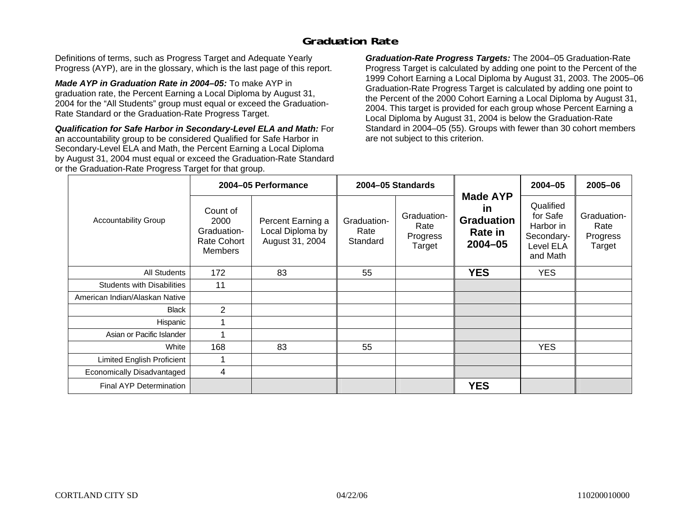### **Graduation Rate**

Definitions of terms, such as Progress Target and Adequate Yearly Progress (AYP), are in the glossary, which is the last page of this report.

*Made AYP in Graduation Rate in 2004–05:* To make AYP in graduation rate, the Percent Earning a Local Diploma by August 31, 2004 for the "All Students" group must equal or exceed the Graduation-Rate Standard or the Graduation-Rate Progress Target.

*Qualification for Safe Harbor in Secondary-Level ELA and Math:* For an accountability group to be considered Qualified for Safe Harbor in Secondary-Level ELA and Math, the Percent Earning a Local Diploma by August 31, 2004 must equal or exceed the Graduation-Rate Standard or the Graduation-Rate Progress Target for that group.

*Graduation-Rate Progress Targets:* The 2004–05 Graduation-Rate Progress Target is calculated by adding one point to the Percent of the 1999 Cohort Earning a Local Diploma by August 31, 2003. The 2005–06 Graduation-Rate Progress Target is calculated by adding one point to the Percent of the 2000 Cohort Earning a Local Diploma by August 31, 2004. This target is provided for each group whose Percent Earning a Local Diploma by August 31, 2004 is below the Graduation-Rate Standard in 2004–05 (55). Groups with fewer than 30 cohort members are not subject to this criterion.

|                                   |                                                                  | 2004-05 Performance                                      |                                 | 2004-05 Standards                         |                                                                             | $2004 - 05$                                                               | 2005-06                                   |
|-----------------------------------|------------------------------------------------------------------|----------------------------------------------------------|---------------------------------|-------------------------------------------|-----------------------------------------------------------------------------|---------------------------------------------------------------------------|-------------------------------------------|
| <b>Accountability Group</b>       | Count of<br>2000<br>Graduation-<br>Rate Cohort<br><b>Members</b> | Percent Earning a<br>Local Diploma by<br>August 31, 2004 | Graduation-<br>Rate<br>Standard | Graduation-<br>Rate<br>Progress<br>Target | <b>Made AYP</b><br><u>in</u><br><b>Graduation</b><br>Rate in<br>$2004 - 05$ | Qualified<br>for Safe<br>Harbor in<br>Secondary-<br>Level ELA<br>and Math | Graduation-<br>Rate<br>Progress<br>Target |
| All Students                      | 172                                                              | 83                                                       | 55                              |                                           | <b>YES</b>                                                                  | <b>YES</b>                                                                |                                           |
| <b>Students with Disabilities</b> | 11                                                               |                                                          |                                 |                                           |                                                                             |                                                                           |                                           |
| American Indian/Alaskan Native    |                                                                  |                                                          |                                 |                                           |                                                                             |                                                                           |                                           |
| <b>Black</b>                      | $\overline{2}$                                                   |                                                          |                                 |                                           |                                                                             |                                                                           |                                           |
| Hispanic                          |                                                                  |                                                          |                                 |                                           |                                                                             |                                                                           |                                           |
| Asian or Pacific Islander         |                                                                  |                                                          |                                 |                                           |                                                                             |                                                                           |                                           |
| White                             | 168                                                              | 83                                                       | 55                              |                                           |                                                                             | <b>YES</b>                                                                |                                           |
| <b>Limited English Proficient</b> |                                                                  |                                                          |                                 |                                           |                                                                             |                                                                           |                                           |
| Economically Disadvantaged        | 4                                                                |                                                          |                                 |                                           |                                                                             |                                                                           |                                           |
| <b>Final AYP Determination</b>    |                                                                  |                                                          |                                 |                                           | <b>YES</b>                                                                  |                                                                           |                                           |